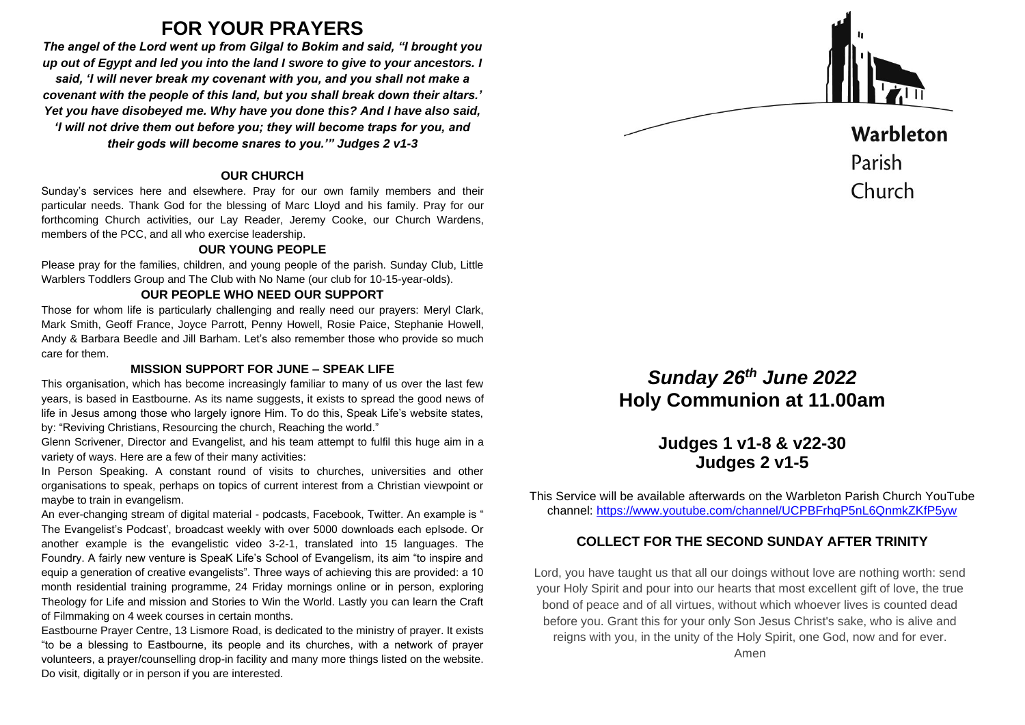## **FOR YOUR PRAYERS**

*The angel of the Lord went up from Gilgal to Bokim and said, "I brought you up out of Egypt and led you into the land I swore to give to your ancestors. I said, 'I will never break my covenant with you, and you shall not make a covenant with the people of this land, but you shall break down their altars.' Yet you have disobeyed me. Why have you done this? And I have also said, 'I will not drive them out before you; they will become traps for you, and their gods will become snares to you.'" Judges 2 v1-3*

## **OUR CHURCH**

Sunday's services here and elsewhere. Pray for our own family members and their particular needs. Thank God for the blessing of Marc Lloyd and his family. Pray for our forthcoming Church activities, our Lay Reader, Jeremy Cooke, our Church Wardens, members of the PCC, and all who exercise leadership.

#### **OUR YOUNG PEOPLE**

Please pray for the families, children, and young people of the parish. Sunday Club, Little Warblers Toddlers Group and The Club with No Name (our club for 10-15-year-olds).

### **OUR PEOPLE WHO NEED OUR SUPPORT**

Those for whom life is particularly challenging and really need our prayers: Meryl Clark, Mark Smith, Geoff France, Joyce Parrott, Penny Howell, Rosie Paice, Stephanie Howell, Andy & Barbara Beedle and Jill Barham. Let's also remember those who provide so much care for them.

#### **MISSION SUPPORT FOR JUNE – SPEAK LIFE**

This organisation, which has become increasingly familiar to many of us over the last few years, is based in Eastbourne. As its name suggests, it exists to spread the good news of life in Jesus among those who largely ignore Him. To do this, Speak Life's website states, by: "Reviving Christians, Resourcing the church, Reaching the world."

Glenn Scrivener, Director and Evangelist, and his team attempt to fulfil this huge aim in a variety of ways. Here are a few of their many activities:

In Person Speaking. A constant round of visits to churches, universities and other organisations to speak, perhaps on topics of current interest from a Christian viewpoint or maybe to train in evangelism.

An ever-changing stream of digital material - podcasts, Facebook, Twitter. An example is " The Evangelist's Podcast', broadcast weekly with over 5000 downloads each epIsode. Or another example is the evangelistic video 3-2-1, translated into 15 languages. The Foundry. A fairly new venture is SpeaK Life's School of Evangelism, its aim "to inspire and equip a generation of creative evangelists". Three ways of achieving this are provided: a 10 month residential training programme, 24 Friday mornings online or in person, exploring Theology for Life and mission and Stories to Win the World. Lastly you can learn the Craft of Filmmaking on 4 week courses in certain months.

Eastbourne Prayer Centre, 13 Lismore Road, is dedicated to the ministry of prayer. It exists "to be a blessing to Eastbourne, its people and its churches, with a network of prayer volunteers, a prayer/counselling drop-in facility and many more things listed on the website. Do visit, digitally or in person if you are interested.



# *Sunday 26th June 2022* **Holy Communion at 11.00am**

**Judges 1 v1-8 & v22-30 Judges 2 v1-5**

This Service will be available afterwards on the Warbleton Parish Church YouTube channel:<https://www.youtube.com/channel/UCPBFrhqP5nL6QnmkZKfP5yw>

## **COLLECT FOR THE SECOND SUNDAY AFTER TRINITY**

Lord, you have taught us that all our doings without love are nothing worth: send your Holy Spirit and pour into our hearts that most excellent gift of love, the true bond of peace and of all virtues, without which whoever lives is counted dead before you. Grant this for your only Son Jesus Christ's sake, who is alive and reigns with you, in the unity of the Holy Spirit, one God, now and for ever. Amen